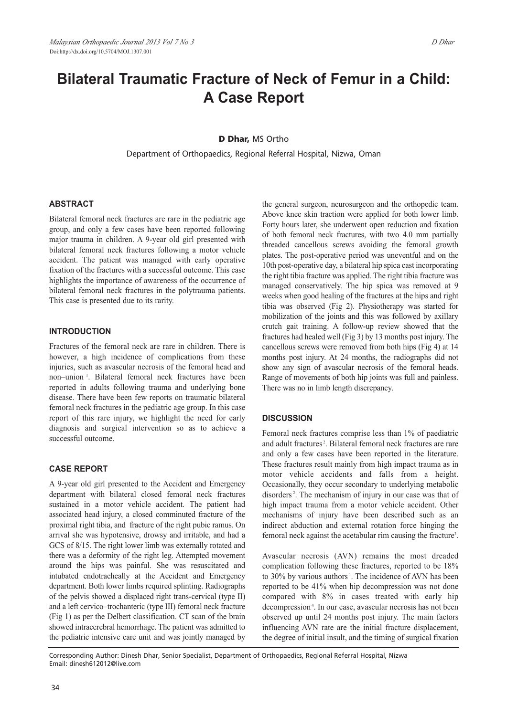# **Bilateral Traumatic Fracture of Neck of Femur in a Child: A Case Report**

#### **D Dhar,** MS Ortho

Department of Orthopaedics, Regional Referral Hospital, Nizwa, Oman

### **ABSTRACT**

Bilateral femoral neck fractures are rare in the pediatric age group, and only a few cases have been reported following major trauma in children. A 9-year old girl presented with bilateral femoral neck fractures following a motor vehicle accident. The patient was managed with early operative fixation of the fractures with a successful outcome. This case highlights the importance of awareness of the occurrence of bilateral femoral neck fractures in the polytrauma patients. This case is presented due to its rarity.

#### **INTRODUCTION**

Fractures of the femoral neck are rare in children. There is however, a high incidence of complications from these injuries, such as avascular necrosis of the femoral head and non–union <sup>1</sup> . Bilateral femoral neck fractures have been reported in adults following trauma and underlying bone disease. There have been few reports on traumatic bilateral femoral neck fractures in the pediatric age group. In this case report of this rare injury, we highlight the need for early diagnosis and surgical intervention so as to achieve a successful outcome.

#### **CASE REPORT**

A 9-year old girl presented to the Accident and Emergency department with bilateral closed femoral neck fractures sustained in a motor vehicle accident. The patient had associated head injury, a closed comminuted fracture of the proximal right tibia, and fracture of the right pubic ramus. On arrival she was hypotensive, drowsy and irritable, and had a GCS of 8/15. The right lower limb was externally rotated and there was a deformity of the right leg. Attempted movement around the hips was painful. She was resuscitated and intubated endotracheally at the Accident and Emergency department. Both lower limbs required splinting. Radiographs of the pelvis showed a displaced right trans-cervical (type II) and a left cervico–trochanteric (type III) femoral neck fracture (Fig 1) as per the Delbert classification. CT scan of the brain showed intracerebral hemorrhage. The patient was admitted to the pediatric intensive care unit and was jointly managed by

the general surgeon, neurosurgeon and the orthopedic team. Above knee skin traction were applied for both lower limb. Forty hours later, she underwent open reduction and fixation of both femoral neck fractures, with two 4.0 mm partially threaded cancellous screws avoiding the femoral growth plates. The post-operative period was uneventful and on the 10th post-operative day, a bilateral hip spica cast incorporating the right tibia fracture was applied. The right tibia fracture was managed conservatively. The hip spica was removed at 9 weeks when good healing of the fractures at the hips and right tibia was observed (Fig 2). Physiotherapy was started for mobilization of the joints and this was followed by axillary crutch gait training. A follow-up review showed that the fractures had healed well (Fig 3) by 13 months post injury. The cancellous screws were removed from both hips (Fig 4) at 14 months post injury. At 24 months, the radiographs did not show any sign of avascular necrosis of the femoral heads. Range of movements of both hip joints was full and painless. There was no in limb length discrepancy.

#### **DISCUSSION**

Femoral neck fractures comprise less than 1% of paediatric and adult fractures<sup>2</sup>. Bilateral femoral neck fractures are rare and only a few cases have been reported in the literature. These fractures result mainly from high impact trauma as in motor vehicle accidents and falls from a height. Occasionally, they occur secondary to underlying metabolic disorders <sup>2</sup> . The mechanism of injury in our case was that of high impact trauma from a motor vehicle accident. Other mechanisms of injury have been described such as an indirect abduction and external rotation force hinging the femoral neck against the acetabular rim causing the fracture<sup>3</sup>.

Avascular necrosis (AVN) remains the most dreaded complication following these fractures, reported to be 18% to 30% by various authors<sup>1</sup>. The incidence of AVN has been reported to be 41% when hip decompression was not done compared with 8% in cases treated with early hip decompression<sup>4</sup>. In our case, avascular necrosis has not been observed up until 24 months post injury. The main factors influencing AVN rate are the initial fracture displacement, the degree of initial insult, and the timing of surgical fixation

Corresponding Author: Dinesh Dhar, Senior Specialist, Department of Orthopaedics, Regional Referral Hospital, Nizwa Email: dinesh612012@live.com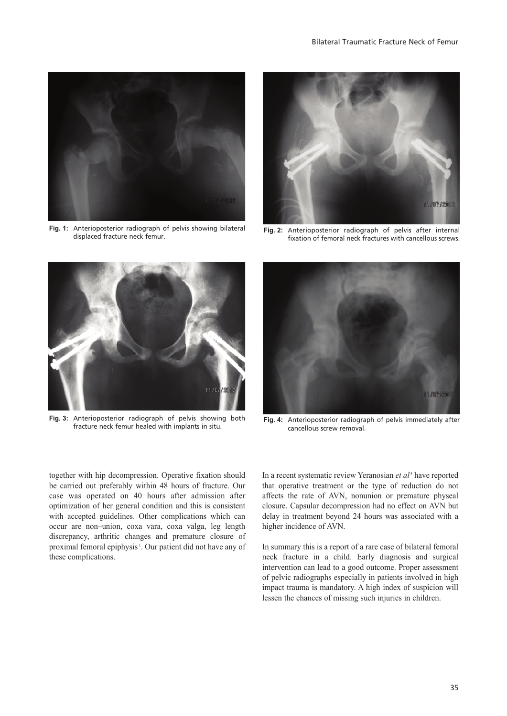

**Fig. 1:** Anterioposterior radiograph of pelvis showing bilateral



Fig. 2: Anterioposterior radiograph of pelvis after internal fixation of femoral neck fractures with cancellous screws.



**Fig. 3:** Anterioposterior radiograph of pelvis showing both



Anterioposterior radiograph of pelvis showing both **Fig. 4:** Anterioposterior radiograph of pelvis immediately after fracture neck femur healed with implants in situ. cancellous screw removal.

together with hip decompression. Operative fixation should be carried out preferably within 48 hours of fracture. Our case was operated on 40 hours after admission after optimization of her general condition and this is consistent with accepted guidelines. Other complications which can occur are non–union, coxa vara, coxa valga, leg length discrepancy, arthritic changes and premature closure of proximal femoral epiphysis<sup>1</sup>. Our patient did not have any of these complications.

In a recent systematic review Yeranosian *et al* <sup>5</sup> have reported that operative treatment or the type of reduction do not affects the rate of AVN, nonunion or premature physeal closure. Capsular decompression had no effect on AVN but delay in treatment beyond 24 hours was associated with a higher incidence of AVN.

In summary this is a report of a rare case of bilateral femoral neck fracture in a child. Early diagnosis and surgical intervention can lead to a good outcome. Proper assessment of pelvic radiographs especially in patients involved in high impact trauma is mandatory. A high index of suspicion will lessen the chances of missing such injuries in children.